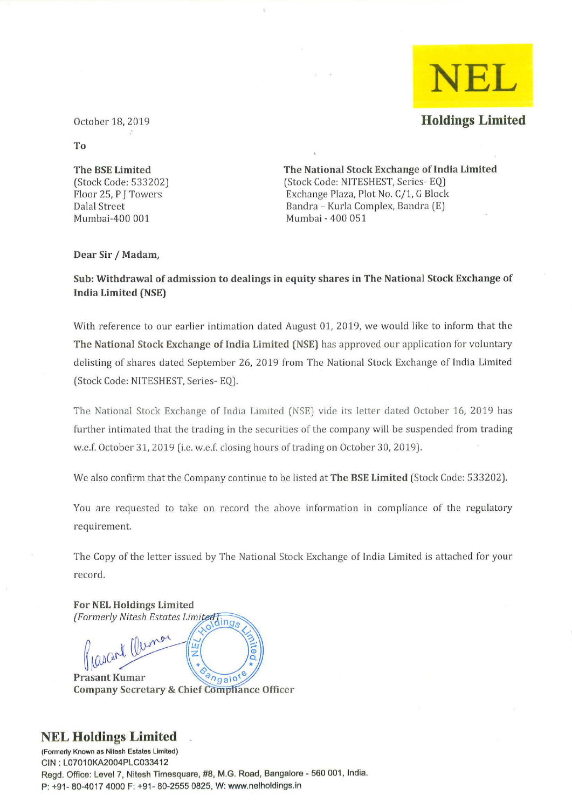

October 18, 2019

To

The BSE Limited (Stock Code: 533202) Floor 25, P J Towers Dalal Street Mumbai-400 001

The National Stock Exchange of India Limited (Stock Code: NITESHEST, Series-EQ) Exchange Plaza, Plot No. C/1, G Block Bandra - Kurla Complex, Bandra (E) Mumbai - 400 051

## Dear Sir / Madam,

Sub: Withdrawal of admission to dealings in equity shares in The National Stock Exchange of India Limited (NSE)

With reference to our earlier intimation dated August 01, 2019, we would like to inform that the The National Stock Exchange of India Limited (NSE) has approved our application for voluntary delisting of shares dated September 26, 2019 from The National Stock Exchange of India Limited (Stock Code: NITESHEST, Series- EQ).

The National Stock Exchange of India Limited (NSE) vide its letter dated October 16, 2019 has further intimated that the trading in the securities of the company will be suspended from trading w.e.f. October 31, 2019 (i.e. w.e.f. closing hours of trading on October 30, 2019).

We also confirm that the Company continue to be listed at **The BSE Limited** (Stock Code: 533202).

You are requested to take on record the above information in compliance of the regulatory requirement.

The Copy of the letter issued by The National Stock Exchange of India Limited is attached for your record.

**For NEL Holdings Limited** (Formerly Nitesh Estates Limited) Jesant Cluman ū **Prasant Kumar**  $ngalo'$ **Company Secretary & Chief Comphance Officer** 

## **NEL Holdings Limited**

**(Formerly Known as Nilesh Estates Limited)**  CIN: L07010KA2004PLC033412 Regd. Office: Level 7, Nitesh Timesquare, #8, M.G. Road, Bangalore - *560 001,* India. P: +91 - 80-4017 4000 F: +91- *80-2555* 0825, W: www.nelholdings.in